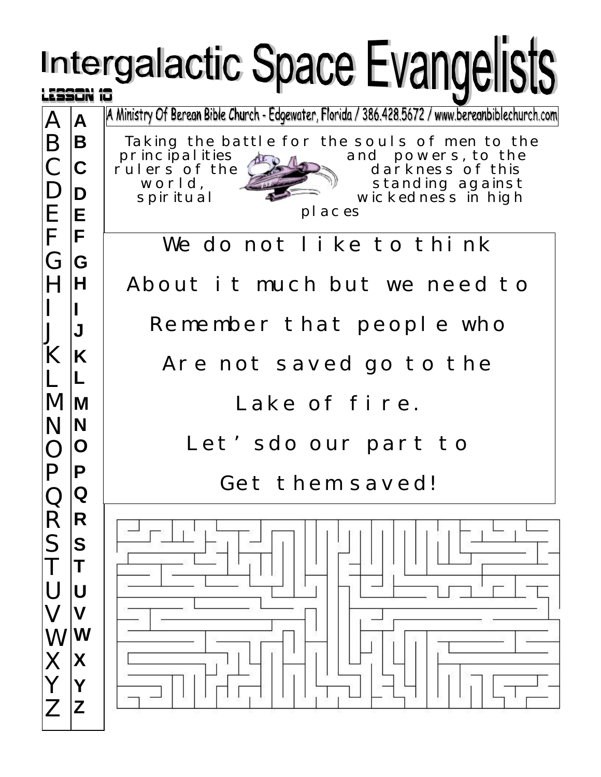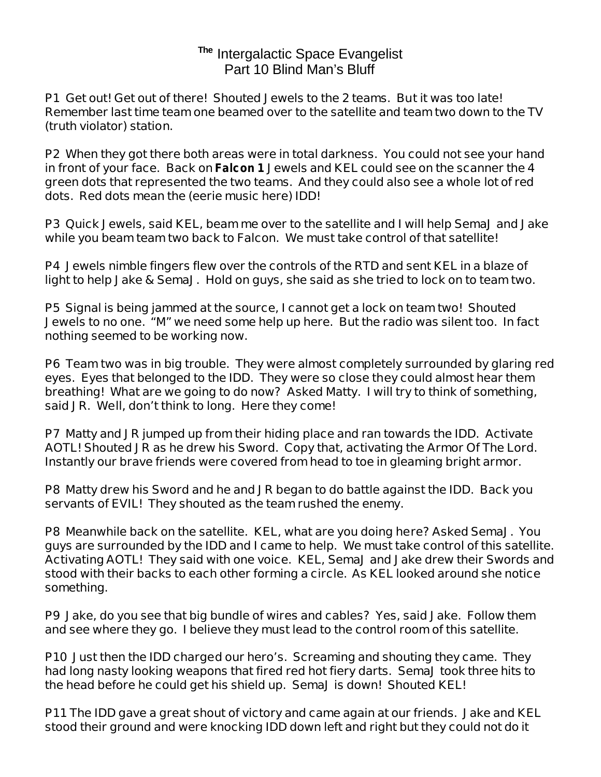## **The** Intergalactic Space Evangelist Part 10 Blind Man's Bluff

**P1 Get out! Get out of there! Shouted Jewels to the 2 teams. But it was too late! Remember last time team one beamed over to the satellite and team two down to the TV (truth violator) station.** 

**P2 When they got there both areas were in total darkness. You could not see your hand in front of your face. Back on** *Falcon 1* **Jewels and KEL could see on the scanner the 4 green dots that represented the two teams. And they could also see a whole lot of red dots. Red dots mean the (eerie music here) IDD!** 

**P3 Quick Jewels, said KEL, beam me over to the satellite and I will help SemaJ and Jake while you beam team two back to Falcon. We must take control of that satellite!**

**P4 Jewels nimble fingers flew over the controls of the RTD and sent KEL in a blaze of light to help Jake & SemaJ. Hold on guys, she said as she tried to lock on to team two.**

**P5 Signal is being jammed at the source, I cannot get a lock on team two! Shouted Jewels to no one. "M" we need some help up here. But the radio was silent too. In fact nothing seemed to be working now.**

**P6 Team two was in big trouble. They were almost completely surrounded by glaring red eyes. Eyes that belonged to the IDD. They were so close they could almost hear them breathing! What are we going to do now? Asked Matty. I will try to think of something, said JR. Well, don't think to long. Here they come!**

**P7 Matty and JR jumped up from their hiding place and ran towards the IDD. Activate AOTL! Shouted JR as he drew his Sword. Copy that, activating the Armor Of The Lord. Instantly our brave friends were covered from head to toe in gleaming bright armor.**

**P8 Matty drew his Sword and he and JR began to do battle against the IDD. Back you servants of EVIL! They shouted as the team rushed the enemy.**

**P8 Meanwhile back on the satellite. KEL, what are you doing here? Asked SemaJ. You guys are surrounded by the IDD and I came to help. We must take control of this satellite. Activating AOTL! They said with one voice. KEL, SemaJ and Jake drew their Swords and stood with their backs to each other forming a circle. As KEL looked around she notice something.** 

**P9 Jake, do you see that big bundle of wires and cables? Yes, said Jake. Follow them and see where they go. I believe they must lead to the control room of this satellite.** 

**P10 Just then the IDD charged our hero's. Screaming and shouting they came. They had long nasty looking weapons that fired red hot fiery darts. SemaJ took three hits to the head before he could get his shield up. SemaJ is down! Shouted KEL!** 

**P11 The IDD gave a great shout of victory and came again at our friends. Jake and KEL stood their ground and were knocking IDD down left and right but they could not do it**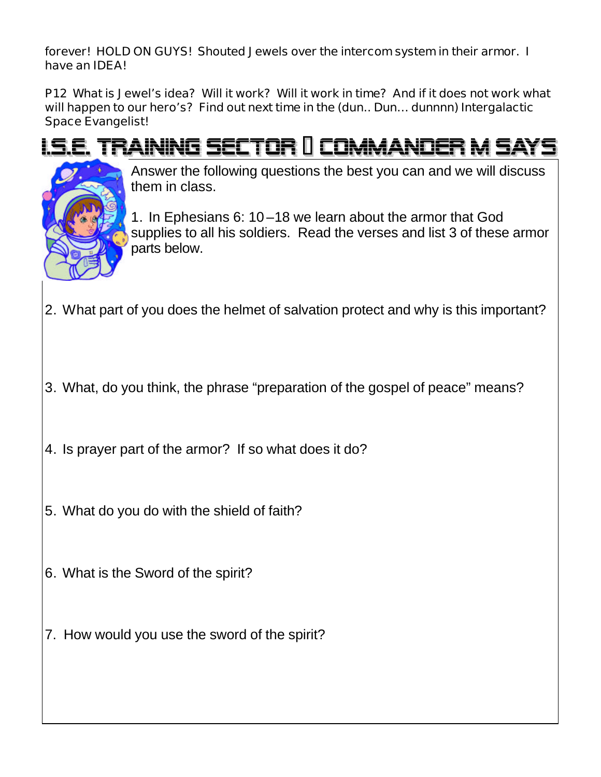**forever! HOLD ON GUYS! Shouted Jewels over the intercom system in their armor. I have an IDEA!**

**P12 What is Jewel's idea? Will it work? Will it work in time? And if it does not work what will happen to our hero's? Find out next time in the (dun.. Dun… dunnnn) Intergalactic Space Evangelist!**

## <u>I.S.E. TRAINING SECTOR II COMMANDER M SA</u>



Answer the following questions the best you can and we will discuss them in class.

1. In Ephesians 6: 10 –18 we learn about the armor that God supplies to all his soldiers. Read the verses and list 3 of these armor parts below.

- 2. What part of you does the helmet of salvation protect and why is this important?
- 3. What, do you think, the phrase "preparation of the gospel of peace" means?
- 4. Is prayer part of the armor? If so what does it do?
- 5. What do you do with the shield of faith?
- 6. What is the Sword of the spirit?
- 7. How would you use the sword of the spirit?